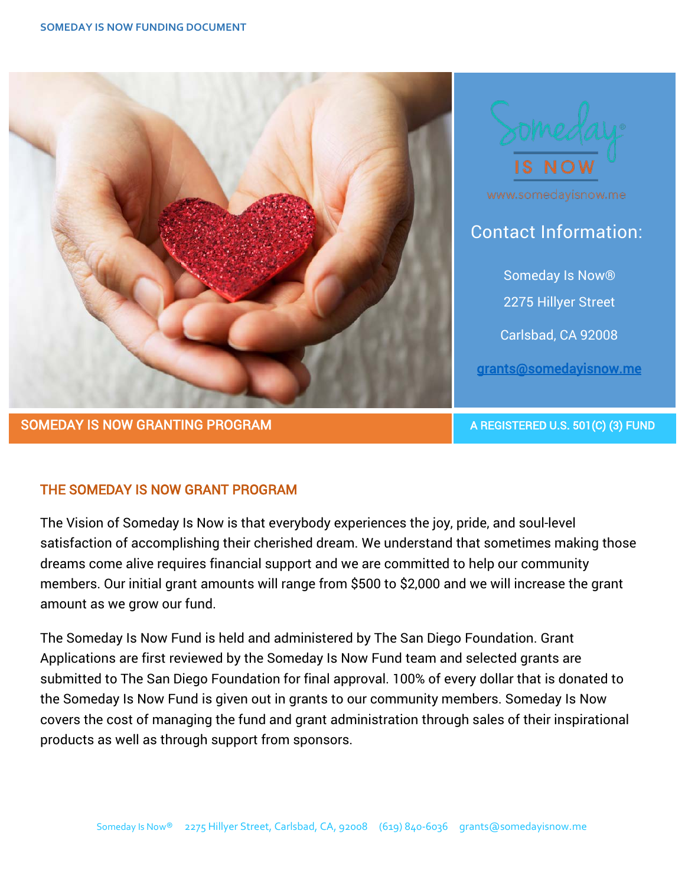



www.somedayisnow.me

Contact Information:

 Someday Is Now® 2275 Hillyer Street Carlsbad, CA 92008 [grants@somedayisnow.me](mailto:grants@somedayisnow.me) 

## THE SOMEDAY IS NOW GRANT PROGRAM

The Vision of Someday Is Now is that everybody experiences the joy, pride, and soul-level satisfaction of accomplishing their cherished dream. We understand that sometimes making those dreams come alive requires financial support and we are committed to help our community members. Our initial grant amounts will range from \$500 to \$2,000 and we will increase the grant amount as we grow our fund.

The Someday Is Now Fund is held and administered by The San Diego Foundation. Grant Applications are first reviewed by the Someday Is Now Fund team and selected grants are submitted to The San Diego Foundation for final approval. 100% of every dollar that is donated to the Someday Is Now Fund is given out in grants to our community members. Someday Is Now covers the cost of managing the fund and grant administration through sales of their inspirational products as well as through support from sponsors.